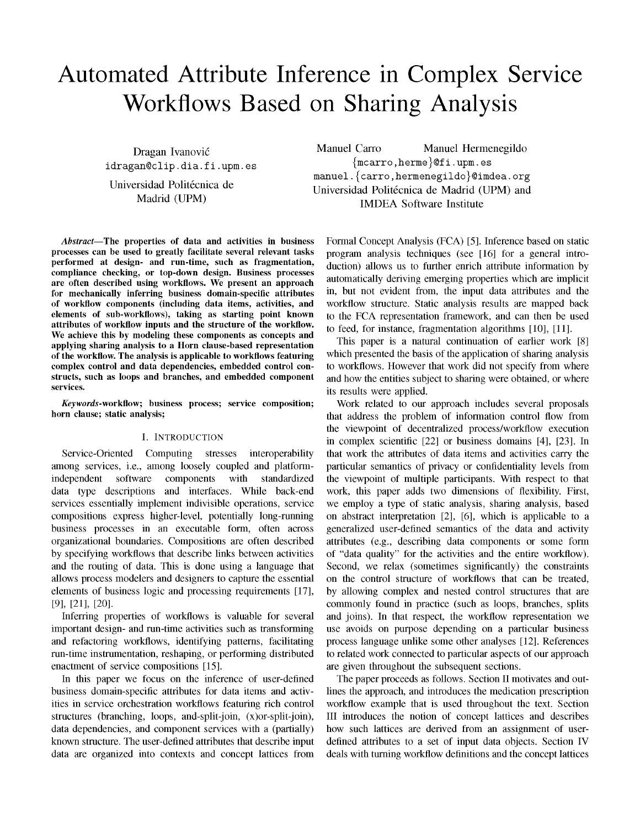# Automated Attribute Inference in Complex Service Workflows Based on Sharing Analysis

Dragan Ivanovic [idragan@clip.dia.fi.upm.e](mailto:idragan@clip.dia.fi.upm.es)s

Universidad Politécnica de Madrid (UPM)

*Abstract*—The properties of data and activities in business processes can be used to greatly facilítate several relevant tasks performed at design- and run-time, such as fragmentation, compliance checking, or top-down design. Business processes are often described using workflows. We present an approach for mechanically inferring business domain-specific attributes of workflow components (including data Ítems, activities, and elements of sub-workflows), taking as starting point known attributes of workflow inputs and the structure of the workflow. We achieve this by modeling these components as concepts and applying sharing analysis to a Horn clause-based representation of the workflow. The analysis is applicable to workflows featuring complex control and data dependencies, embedded control constructs, such as loops and branches, and embedded component services.

*Keywords-y/or\Aoy/;* business process; service composition; horn clause; static analysis;

## I. INTRODUCTION

Service-Oriented Computing stresses interoperability among services, i.e., among loosely coupled and platformindependent software components with standardized data type descriptions and interfaces. While back-end services essentially implement indivisible operations, service compositions express higher-level, potentially long-running business processes in an executable form, often across organizational boundaries. Compositions are often described by specifying workflows that describe links between activities and the routing of data. This is done using a language that allows process modelers and designers to capture the essential elements of business logic and processing requirements [17], [9], [21], [20].

Inferring properties of workflows is valuable for several important design- and run-time activities such as transforming and refactoring workflows, identifying patterns, facilitating run-time instrumentation, reshaping, or performing distributed enactment of service compositions [15].

In this paper we focus on the inference of user-defmed business domain-specific attributes for data items and activities in service orchestration workflows featuring rich control structures (branching, loops, and-split-join, (x)or-split-join), data dependencies, and component services with a (partially) known structure. The user-defined attributes that describe input data are organized into contexts and concept lattices from

Manuel Carro Manuel Hermenegildo {mcarro,herme}@fi.upm.es manuel.{carro,hermenegildo}@imdea.org Universidad Politécnica de Madrid (UPM) and IMDEA Software Institute

Formal Concept Analysis (FCA) [5]. Inference based on static program analysis techniques (see [16] for a general introduction) allows us to further enrich attribute information by automatically deriving emerging properties which are implicit in, but not evident from, the input data attributes and the workflow structure. Static analysis results are mapped back to the FCA representation framework, and can then be used to feed, for instance, fragmentation algorithms [10], [11].

This paper is a natural continuation of earlier work [8] which presented the basis of the application of sharing analysis to workflows. However that work did not specify from where and how the entities subject to sharing were obtained, or where its results were applied.

Work related to our approach includes several proposals that address the problem of information control flow from the viewpoint of decentralized process/workflow execution in complex scientific [22] or business domains [4], [23]. In that work the attributes of data items and activities carry the particular semantics of privacy or confidentiality levels from the viewpoint of multiple participants. With respect to that work, this paper adds two dimensions of flexibility. First, we employ a type of static analysis, sharing analysis, based on abstract interpretation [2], [6], which is applicable to a generalized user-defined semantics of the data and activity attributes (e.g., describing data components or some form of "data quality" for the activities and the entire workflow). Second, we relax (sometimes significantly) the constraints on the control structure of workflows that can be treated, by allowing complex and nested control structures that are commonly found in practice (such as loops, branches, splits and joins). In that respect, the workflow representation we use avoids on purpose depending on a particular business process language unlike some other analyses [12]. References to related work connected to particular aspects of our approach are given throughout the subsequent sections.

The paper proceeds as follows. Section II motivates and outlines the approach, and introduces the medication prescription workflow example that is used throughout the text. Section III introduces the notion of concept lattices and describes how such lattices are derived from an assignment of userdefined attributes to a set of input data objects. Section IV deals with turning workflow definitions and the concept lattices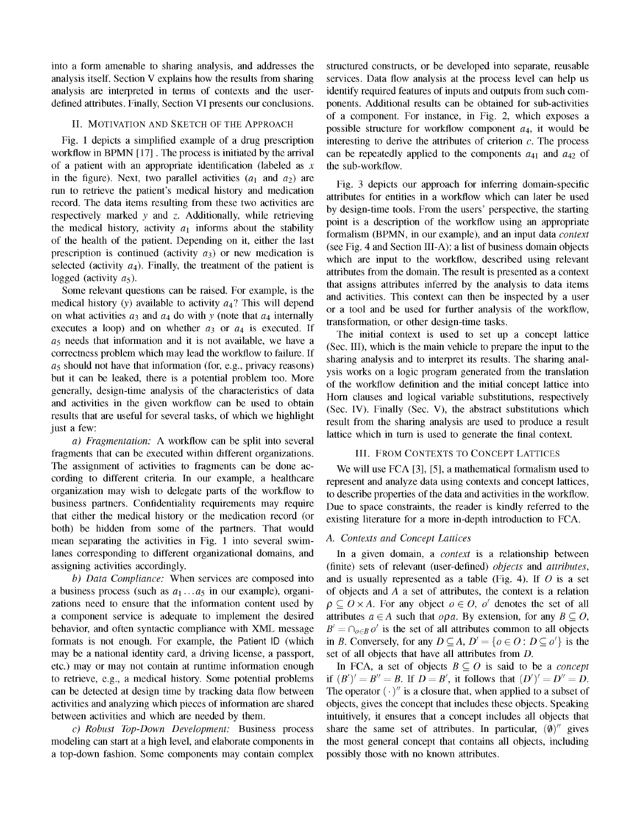into a form amenable to sharing analysis, and addresses the analysis itself. Section V explains how the results from sharing analysis are interpreted in terms of contexts and the userdefined attributes. Finally, Section VI presents our conclusions.

#### II. MOTIVATION AND SKETCH OF THE APPROACH

Fig. 1 depicts a simplifled example of a drug prescription workflow in BPMN [17] . The process is initiated by the arrival of a patient with an appropriate identification (labeled as *x*  in the figure). Next, two parallel activities  $(a_1 \text{ and } a_2)$  are run to retrieve the patient's medical history and medication record. The data items resulting from these two activities are respectively marked *y* and *z.* Additionally, while retrieving the medical history, activity  $a_1$  informs about the stability of the health of the patient. Depending on it, either the last prescription is continued (activity  $a_3$ ) or new medication is selected (activity  $a_4$ ). Finally, the treatment of the patient is logged (activity  $a_5$ ).

Some relevant questions can be raised. For example, is the medical history (y) available to activity  $a_4$ ? This will depend on what activities  $a_3$  and  $a_4$  do with y (note that  $a_4$  internally executes a loop) and on whether  $a_3$  or  $a_4$  is executed. If  $a<sub>5</sub>$  needs that information and it is not available, we have a correctness problem which may lead the workflow to failure. If  $a_5$  should not have that information (for, e.g., privacy reasons) but it can be leaked, there is a potential problem too. More generally, design-time analysis of the characteristics of data and activities in the given workflow can be used to obtain results that are useful for several tasks, of which we highlight just a few:

*a) Fragmentation:* A workflow can be split into several fragments that can be executed within different organizations. The assignment of activities to fragments can be done according to different criteria. In our example, a healthcare organization may wish to delégate parts of the workflow to business partners. Confidentiality requirements may require that either the medical history or the medication record (or both) be hidden from some of the partners. That would mean separating the activities in Fig. 1 into several swimlanes corresponding to different organizational domains, and assigning activities accordingly.

*b) Data Compliance:* When services are composed into a business process (such as  $a_1 \ldots a_5$  in our example), organizations need to ensure that the information content used by a component service is adequate to implement the desired behavior, and often syntactic compliance with XML message formats is not enough. For example, the Patient ID (which may be a national identity card, a driving license, a passport, etc.) may or may not contain at runtime information enough to retrieve, e.g., a medical history. Some potential problems can be detected at design time by tracking data flow between activities and analyzing which pieces of information are shared between activities and which are needed by them.

*c) Robust Top-Down Development:* Business process modeling can start at a high level, and elabórate components in a top-down fashion. Some components may contain complex structured constructs, or be developed into separate, reusable services. Data flow analysis at the process level can help us identify required features of inputs and outputs from such components. Additional results can be obtained for sub-activities of a component. For instance, in Fig. 2, which exposes a possible structure for workflow component  $a_4$ , it would be interesting to derive the attributes of criterion *c.* The process can be repeatedly applied to the components  $a_{41}$  and  $a_{42}$  of the sub-workflow.

Fig. 3 depicts our approach for inferring domain-specific attributes for entities in a workflow which can later be used by design-time tools. From the users' perspective, the starting point is a description of the workflow using an appropriate formalism (BPMN, in our example), and an input data *context*  (see Fig. 4 and Section III-A): a list of business domain objects which are input to the workflow, described using relevant attributes from the domain. The result is presented as a context that assigns attributes inferred by the analysis to data items and activities. This context can then be inspected by a user or a tool and be used for further analysis of the workflow, transformation, or other design-time tasks.

The initial context is used to set up a concept lattice (Sec. III), which is the main vehicle to prepare the input to the sharing analysis and to interpret its results. The sharing analysis works on a logic program generated from the translation of the workflow defmition and the initial concept lattice into Horn clauses and logical variable substitutions, respectively (Sec. IV). Finally (Sec. V), the abstract substitutions which result from the sharing analysis are used to produce a result lattice which in turn is used to generate the final context.

## III. FROM CONTEXTS TO CONCEPT LATTICES

We will use FCA [3], [5], a mathematical formalism used to represent and analyze data using contexts and concept lattices, to describe properties of the data and activities in the workflow. Due to space constraints, the reader is kindly referred to the existing literature for a more in-depth introduction to FCA.

# *A. Contexts and Concept Lattices*

In a given domain, a *context* is a relationship between (finite) sets of relevant (user-defined) *objects* and *attributes,*  and is usually represented as a table (Fig. 4). If  $O$  is a set of objects and *A* a set of attributes, the context is a relation  $\rho \subseteq O \times A$ . For any object  $o \in O$ , o' denotes the set of all attributes  $a \in A$  such that  $opa$ . By extension, for any  $B \subseteq O$ ,  $B' = \bigcap_{\rho \in B} \rho'$  is the set of all attributes common to all objects in *B*. Conversely, for any  $D \subseteq A$ ,  $D' = \{o \in O : D \subseteq o'\}$  is the set of all objects that have all attributes from *D.* 

In FCA, a set of objects  $B \subseteq O$  is said to be a *concept* if  $(B')' = B'' = B$ . If  $D = B'$ , it follows that  $(D')' = D'' = D$ . The operator  $(\cdot)$ <sup>"</sup> is a closure that, when applied to a subset of objects, gives the concept that includes these objects. Speaking intuitively, it ensures that a concept includes all objects that share the same set of attributes. In particular,  $(\theta)$ <sup>"</sup> gives the most general concept that contains all objects, including possibly those with no known attributes.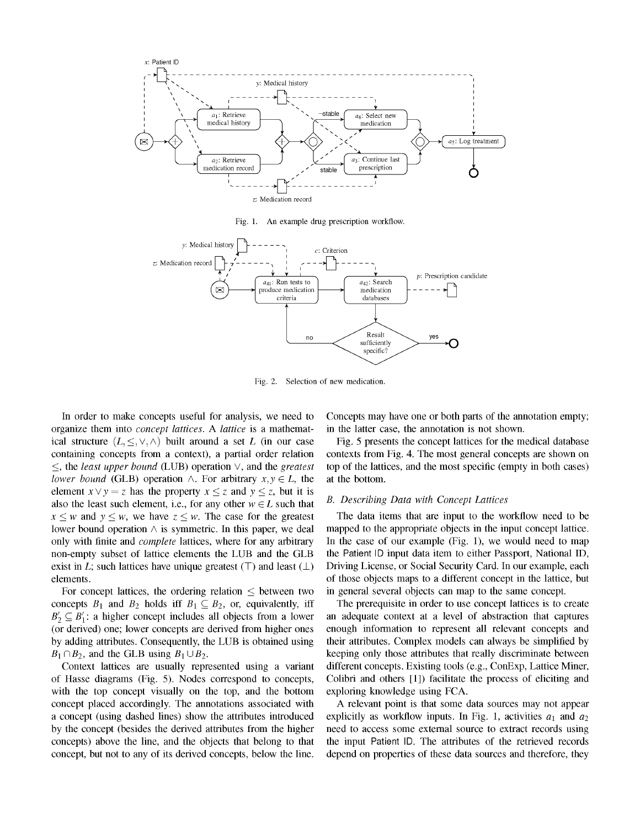

Fig. 1. An example drug prescription workflow.



Fig. 2. Selection of new medication.

In order to make concepts useful for analysis, we need to organize them into *concept lattices.* A *lattice* is a mathematical structure  $(L, \leq, \vee, \wedge)$  built around a set L (in our case containing concepts from a context), a partial order relation  $\leq$ , the *least upper bound* (LUB) operation  $\vee$ , and the *greatest lower bound* (GLB) operation  $\wedge$ . For arbitrary  $x, y \in L$ , the element  $x \vee y = z$  has the property  $x \leq z$  and  $y \leq z$ , but it is also the least such element, i.e., for any other  $w \in L$  such that  $x \leq w$  and  $y \leq w$ , we have  $z \leq w$ . The case for the greatest lower bound operation  $\wedge$  is symmetric. In this paper, we deal only with flnite and *complete* lattices, where for any arbitrary non-empty subset of lattice elements the LUB and the GLB exist in L; such lattices have unique greatest  $(T)$  and least  $(L)$ elements.

For concept lattices, the ordering relation  $\leq$  between two concepts  $B_1$  and  $B_2$  holds iff  $B_1 \subseteq B_2$ , or, equivalently, iff  $B'_2 \subseteq B'_1$ : a higher concept includes all objects from a lower (or derived) one; lower concepts are derived from higher ones by adding attributes. Consequently, the LUB is obtained using  $B_1 \cap B_2$ , and the GLB using  $B_1 \cup B_2$ .

Context lattices are usually represented using a variant of Hasse diagrams (Fig. 5). Nodes correspond to concepts, with the top concept visually on the top, and the bottom concept placed accordingly. The annotations associated with a concept (using dashed lines) show the attributes introduced by the concept (besides the derived attributes from the higher concepts) above the line, and the objects that belong to that concept, but not to any of its derived concepts, below the line.

Concepts may have one or both parts of the annotation empty; in the latter case, the annotation is not shown.

Fig. 5 presents the concept lattices for the medical datábase contexts from Fig. 4. The most general concepts are shown on top of the lattices, and the most speciflc (empty in both cases) at the bottom.

## *B. Describing Data with Concept Lattices*

The data items that are input to the workflow need to be mapped to the appropriate objects in the input concept lattice. In the case of our example (Fig. 1), we would need to map the Patient ID input data item to either Passport, National ID, Driving License, or Social Security Card. In our example, each of those objects maps to a different concept in the lattice, but in general several objects can map to the same concept.

The prerequisite in order to use concept lattices is to create an adequate context at a level of abstraction that captures enough information to represent all relevant concepts and their attributes. Complex models can always be simplified by keeping only those attributes that really discrimínate between different concepts. Existing tools (e.g., ConExp, Lattice Miner, Colibrí and others [1]) facilitate the process of eliciting and exploring knowledge using FCA.

A relevant point is that some data sources may not appear explicitly as workflow inputs. In Fig. 1, activities  $a_1$  and  $a_2$ need to access some external source to extract records using the input Patient ID. The attributes of the retrieved records depend on properties of these data sources and therefore, they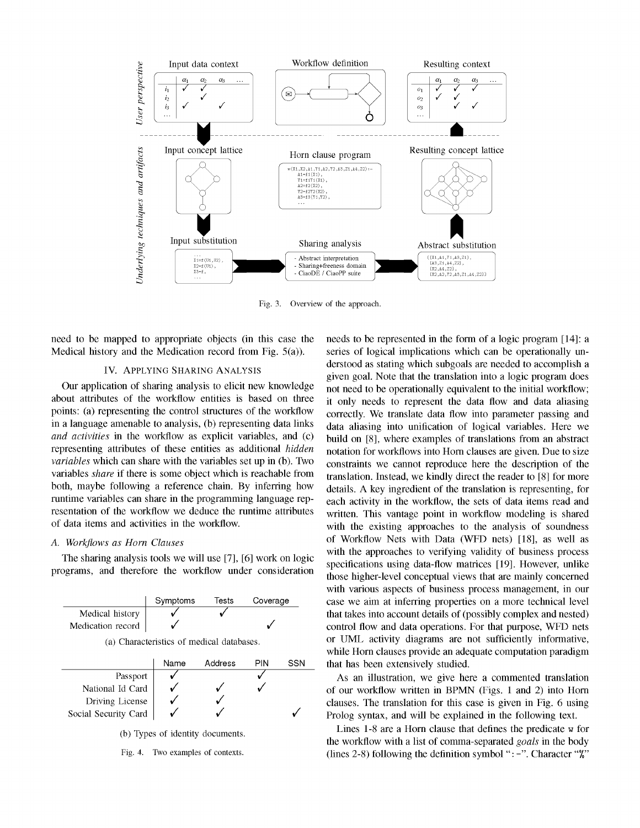

Fig. 3. Overview of the approach.

need to be mapped to appropriate objects (in this case the Medical history and the Medication record from Fig. 5(a)).

## IV. APPLYING SHARING ANALYSIS

Our application of sharing analysis to elicit new knowledge about attributes of the workflow entities is based on three points: (a) representing the control structures of the workflow in a language amenable to analysis, (b) representing data links *and activities* in the workflow as explicit variables, and (c) representing attributes of these entities as additional *hidden variables* which can share with the variables set up in (b). Two variables *share* if there is some object which is reachable from both, maybe following a reference chain. By inferring how runtime variables can share in the programming language representation of the workflow we deduce the runtime attributes of data items and activities in the workflow.

## *A. Workflows as Horn Clauses*

The sharing analysis tools we will use [7], [6] work on logic programs, and therefore the workflow under consideration



(b) Types of identity documents.

Fig. 4. Two examples of contexts.

needs to be represented in the form of a logic program [14]: a series of logical implications which can be operationally understood as stating which subgoals are needed to accomplish a given goal. Note that the translation into a logic program does not need to be operationally equivalent to the initial workflow; it only needs to represent the data flow and data aliasing correctly. We translate data flow into parameter passing and data aliasing into unification of logical variables. Here we build on [8], where examples of translations from an abstract notation for workflows into Horn clauses are given. Due to size constraints we cannot reproduce here the description of the translation. Instead, we kindly direct the reader to [8] for more details. A key ingredient of the translation is representing, for each activity in the workflow, the sets of data items read and written. This vantage point in workflow modeling is shared with the existing approaches to the analysis of soundness of Workflow Nets with Data (WFD nets) [18], as well as with the approaches to verifying validity of business process specifications using data-flow matrices [19]. However, unlike those higher-level conceptual views that are mainly concerned with various aspects of business process management, in our case we aim at inferring properties on a more technical level that takes into account details of (possibly complex and nested) control flow and data operations. For that purpose, WFD nets or UML activity diagrams are not sufficiently informative, while Horn clauses provide an adequate computation paradigm that has been extensively studied.

As an illustration, we give here a commented translation of our workflow written in BPMN (Figs. 1 and 2) into Horn clauses. The translation for this case is given in Fig. 6 using Prolog syntax, and will be explained in the following text.

Lines 1-8 are a Horn clause that defines the predicate w for the workflow with a list of comma-separated *goals* in the body (fines 2-8) following the definition symbol ": -". Character *"%"*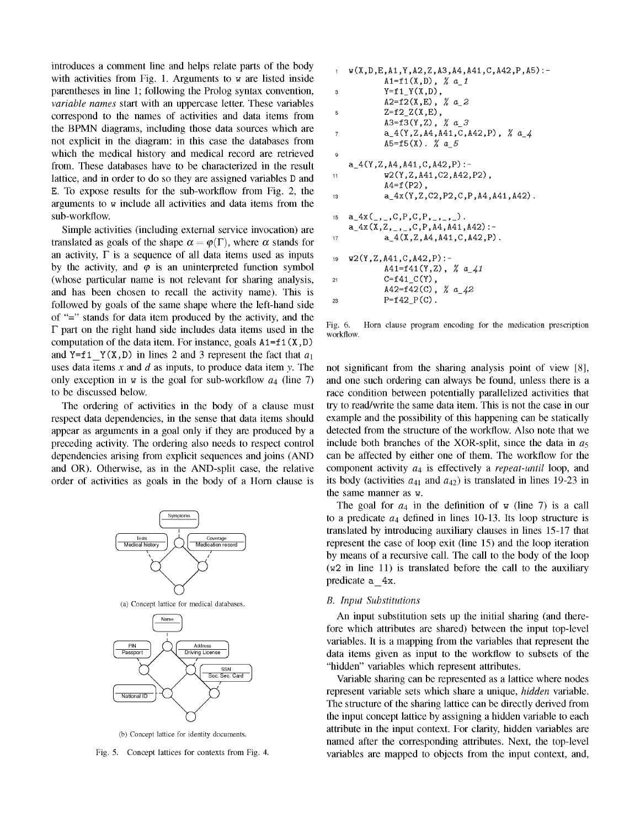introduces a comment line and helps relate parts of the body with activities from Fig. 1. Arguments to w are listed inside parentheses in line 1; following the Prolog syntax convention, *variable names* start with an uppercase letter. These variables correspond to the ñames of activities and data items from the BPMN diagrams, including those data sources which are not explicit in the diagram: in this case the databases from which the medical history and medical record are retrieved from. These databases have to be characterized in the result lattice, and in order to do so they are assigned variables D and E. To expose results for the sub-workflow from Fig. 2, the arguments to w include all activities and data items from the sub-workflow.

Simple activities (including external service invocation) are translated as goals of the shape  $\alpha = \varphi(\Gamma)$ , where  $\alpha$  stands for an activity,  $\Gamma$  is a sequence of all data items used as inputs by the activity, and  $\varphi$  is an uninterpreted function symbol (whose particular ñame is not relevant for sharing analysis, and has been chosen to recall the activity ñame). This is followed by goals of the same shape where the left-hand side of "=" stands for data item produced by the activity, and the  $\Gamma$  part on the right hand side includes data items used in the computation of the data item. For instance, goals  $A1 = f1(X,D)$ and Y=f1  $Y(X, D)$  in lines 2 and 3 represent the fact that  $a_1$ uses data items *x* and *d* as inputs, to produce data item *y.* The only exception in w is the goal for sub-workflow  $a_4$  (line 7) to be discussed below.

The ordering of activities in the body of a clause must respect data dependencies, in the sense that data items should appear as arguments in a goal only if they are produced by a preceding activity. The ordering also needs to respect control dependencies arising from explicit sequences and joins (AND and OR). Otherwise, as in the AND-split case, the relative order of activities as goals in the body of a Horn clause is



(b) Concept lattice for identity documents.

Fig. 5. Concept lattices for contexts from Fig. **4.** 

| $\mathbf{1}$ | $W(X, D, E, A1, Y, A2, Z, A3, A4, A41, C, A42, P, A5)$ : |
|--------------|----------------------------------------------------------|
|              | $A1 = f1(X, D)$ , % a 1                                  |
| 3            | $Y = f1 Y(X,D)$ .                                        |
|              | $A2=f2(X,E)$ , $% a 2$                                   |
| 5            | $Z = f2 Z(X,E)$ .                                        |
|              | $A3 = f3(Y,Z)$ , $\% a3$                                 |
| 7            | a $4(Y, Z, A4, A41, C, A42, P)$ , % a 4                  |
|              | $A5 = f5(X)$ . % a 5                                     |
| 9            |                                                          |
|              | a 4(Y.Z.A4.A41.C.A42.P):-                                |
| 11           | $w2(Y,Z.A41.C2.A42.P2)$ ,                                |
|              | $A4 = f(P2)$ .                                           |
| 13           | a $4x(Y, Z, C2, P2, C, P, A4, A41, A42)$ .               |
|              |                                                          |
| 15           | $a_4x($ , $, c, P, C, P,$ , $, \ldots)$ .                |
|              | a $4x(X,Z, \ldots, C,P,A4,A41,A42)$ :-                   |
| 17           | $a \ 4(X.Z.A4.A41.C.A42.P)$ .                            |
|              |                                                          |
| 19           | $w2(Y,Z,A41,C,A42,P)$ :-                                 |
|              | $A41 = f41(Y,Z)$ , % a 41                                |
| 21           | $C = f41 C(Y)$ .                                         |
|              | A42=f42(C), $% a 42$                                     |
| 23           | $P = f42 P(C)$ .                                         |

Fig. 6. Horn clause program encoding for the medication prescription workflow.

not significant from the sharing analysis point of view [8], and one such ordering can always be found, unless there is a race condition between potentially parallelized activities that try to read/write the same data item. This is not the case in our example and the possibility of this happening can be statically detected from the structure of the workflow. Also note that we include both branches of the XOR-split, since the data in  $a_5$ can be affected by either one of them. The workflow for the component activity  $a_4$  is effectively a *repeat-until* loop, and its body (activities  $a_{41}$  and  $a_{42}$ ) is translated in lines 19-23 in the same manner as w.

The goal for  $a_4$  in the definition of w (line 7) is a call to a predicate  $a_4$  defined in lines 10-13. Its loop structure is translated by introducing auxiliary clauses in lines 15-17 that represent the case of loop exit (line 15) and the loop iteration by means of a recursive cali. The cali to the body of the loop  $(w2$  in line 11) is translated before the call to the auxiliary predicate a\_4x.

#### *B. Input Substitutions*

An input substitution sets up the initial sharing (and therefore which attributes are shared) between the input top-level variables. It is a mapping from the variables that represent the data items given as input to the workflow to subsets of the "hidden" variables which represent attributes.

Variable sharing can be represented as a lattice where nodes represent variable sets which share a unique, *hidden* variable. The structure of the sharing lattice can be directly derived from the input concept lattice by assigning a hidden variable to each attribute in the input context. For clarity, hidden variables are named after the corresponding attributes. Next, the top-level variables are mapped to objects from the input context, and,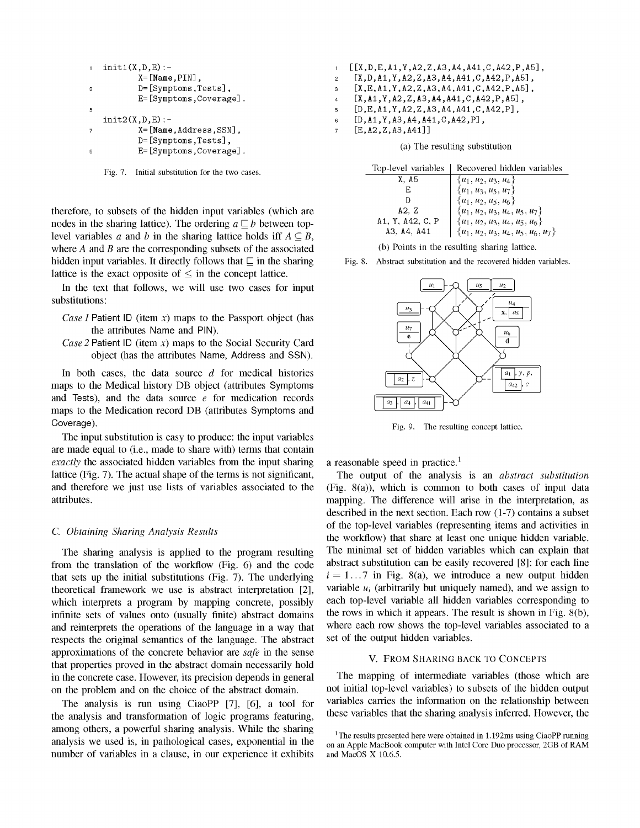```
i \text{init1}(X, D, E):-
          X = [Name, PIN],3 D= [Symptoms,Tests] , 
          E=[Symptoms,Coverage] . 
5 
  init2(X,D,E): -
          7 X=[Name,Address,SSN], 
          D= [Symptoms,Tests] , 
9 E=[Symptoms,Coverage] .
```
Fig. 7. Initial substitution for the two cases.

therefore, to subsets of the hidden input variables (which are nodes in the sharing lattice). The ordering  $a \sqsubseteq b$  between toplevel variables *a* and *b* in the sharing lattice holds iff  $A \subseteq B$ , where *A* and *B* are the corresponding subsets of the associated hidden input variables. It directly follows that  $\sqsubseteq$  in the sharing lattice is the exact opposite of  $\leq$  in the concept lattice.

In the text that follows, we will use two cases for input substitutions:

- *Case I* Patient ID (item x) maps to the Passport object (has the attributes Name and PIN).
- *Case2* Patient ID (item x) maps to the Social Security Card object (has the attributes Name, Address and SSN).

In both cases, the data source *d* for medical histories maps to the Medical history DB object (attributes Symptoms and Tests), and the data source *e* for medication records maps to the Medication record DB (attributes Symptoms and Coverage).

The input substitution is easy to produce: the input variables are made equal to (i.e., made to share with) terms that contain *exactly* the associated hidden variables from the input sharing lattice (Fig. 7). The actual shape of the terms is not significant, and therefore we just use lists of variables associated to the attributes.

#### *C. Obtaining Sharing Analysis Results*

The sharing analysis is applied to the program resulting from the translation of the workflow (Fig. 6) and the code that sets up the initial substitutions (Fig. 7). The underlying theoretical framework we use is abstract interpretation [2], which interprets a program by mapping concrete, possibly infinite sets of values onto (usually finite) abstract domains and reinterprets the operations of the language in a way that respects the original semantics of the language. The abstract approximations of the concrete behavior are *safe* in the sense that properties proved in the abstract domain necessarily hold in the concrete case. However, its precisión depends in general on the problem and on the choice of the abstract domain.

The analysis is run using CiaoPP [7], [6], a tool for the analysis and transformation of logic programs featuring, among others, a powerful sharing analysis. While the sharing analysis we used is, in pathological cases, exponential in the number of variables in a clause, in our experience it exhibits

 $[[X,D,E,A1,Y,A2,Z,A3,A4,A41,C,A42,P,A5],$  $\overline{1}$  $[X,D,A1,Y,A2,Z,A3,A4,A41,C,A42,P,A5],$  $\overline{2}$  $[X,E,A1,Y,A2,Z,A3,A4,A41,C,A42,P,A5],$  $\overline{3}$  $[X, A1, Y, A2, Z, A3, A4, A41, C, A42, P, A5],$  $\overline{4}$  $[D,E,A1,Y,A2,Z,A3,A4,A41,C,A42,P],$  $\overline{5}$ [D, A1, Y, A3, A4, A41, C, A42, P],  $\mathbf{g}$ 

 $[E, A2, Z, A3, A41]$ 

(a) The resulting substitution

| Top-level variables | Recovered hidden variables                           |
|---------------------|------------------------------------------------------|
| X. A5               |                                                      |
| F.                  | { $u_1, u_2, u_3, u_4$ }<br>{ $u_1, u_3, u_5, u_7$ } |
|                     | ${u_1, u_2, u_5, u_6}$                               |
| A2. Z               | $\{u_1, u_2, u_3, u_4, u_5, u_7\}$                   |
| A1, Y, A42, C, P    | $\{u_1, u_2, u_3, u_4, u_5, u_6\}$                   |
| A3, A4, A41         | $\{u_1, u_2, u_3, u_4, u_5, u_6, u_7\}$              |

(b) Points in the resulting sharing lattice.

Fig. 8. Abstract substitution and the recovered hidden variables.



Fig. 9. The resulting concept lattice.

a reasonable speed in practice.<sup>1</sup>

The output of the analysis is an *abstract substitution*  (Fig. 8(a)), which is common to both cases of input data mapping. The difference will arise in the interpretation, as described in the next section. Each row (1-7) contains a subset of the top-level variables (representing items and activities in the workflow) that share at least one unique hidden variable. The minimal set of hidden variables which can explain that abstract substitution can be easily recovered [8]: for each line  $i = 1...7$  in Fig. 8(a), we introduce a new output hidden variable  $u_i$  (arbitrarily but uniquely named), and we assign to each top-level variable all hidden variables corresponding to the rows in which it appears. The result is shown in Fig. 8(b), where each row shows the top-level variables associated to a set of the output hidden variables.

## V. FROM SHARING BACK TO CONCEPTS

The mapping of intermedíate variables (those which are not initial top-level variables) to subsets of the hidden output variables carnes the information on the relationship between these variables that the sharing analysis inferred. However, the

<sup>&</sup>lt;sup>1</sup>The results presented here were obtained in 1.192ms using CiaoPP running on an Apple MacBook computer with Intel Core Dúo processor, 2GB of RAM and MacOS X 10.6.5.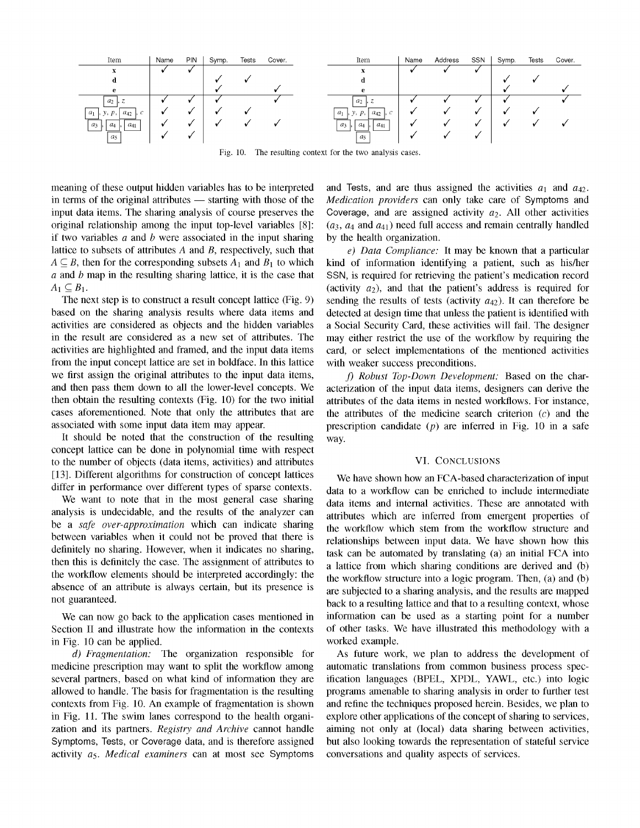

Fig. 10. The resulting context for the two analysis cases.

meaning of these output hidden variables has to be interpreted in terms of the original attributes — starting with those of the input data items. The sharing analysis of course preserves the original relationship among the input top-level variables [8]: if two variables *a* and *b* were associated in the input sharing lattice to subsets of attributes *A* and *B,* respectively, such that  $A \subseteq B$ , then for the corresponding subsets  $A_1$  and  $B_1$  to which *a* and *b* map in the resulting sharing lattice, it is the case that  $A_1 \subseteq B_1$ .

The next step is to construct a result concept lattice (Fig. 9) based on the sharing analysis results where data items and activities are considered as objects and the hidden variables in the result are considered as a new set of attributes. The activities are highlighted and framed, and the input data items from the input concept lattice are set in boldface. In this lattice we first assign the original attributes to the input data items, and then pass them down to all the lower-level concepts. We then obtain the resulting contexts (Fig. 10) for the two initial cases aforementioned. Note that only the attributes that are associated with some input data item may appear.

It should be noted that the construction of the resulting concept lattice can be done in polynomial time with respect to the number of objects (data items, activities) and attributes [13]. Different algorithms for construction of concept lattices differ in performance over different types of sparse contexts.

We want to note that in the most general case sharing analysis is undecidable, and the results of the analyzer can be a *safe over-approximation* which can indicate sharing between variables when it could not be proved that there is definitely no sharing. However, when it indicates no sharing, then this is deflnitely the case. The assignment of attributes to the workflow elements should be interpreted accordingly: the absence of an attribute is always certain, but its presence is not guaranteed.

We can now go back to the application cases mentioned in Section II and illustrate how the information in the contexts in Fig. 10 can be applied.

*d) Fragmentation:* The organization responsible for medicine prescription may want to split the workflow among several partners, based on what kind of information they are allowed to handle. The basis for fragmentation is the resulting contexts from Fig. 10. An example of fragmentation is shown in Fig. 11. The swim lanes correspond to the health organization and its partners. *Registry and Archive* cannot handle Symptoms, Tests, or Coverage data, and is therefore assigned activity *a<sub>5</sub>. Medical examiners* can at most see Symptoms and Tests, and are thus assigned the activities  $a_1$  and  $a_{42}$ . *Medication providers* can only take care of Symptoms and Coverage, and are assigned activity  $a_2$ . All other activities  $(a_3, a_4 \text{ and } a_{41})$  need full access and remain centrally handled by the health organization.

*e) Data Compliance:* It may be known that a particular kind of information identifying a patient, such as his/her SSN, is required for retrieving the patient's medication record (activity  $a_2$ ), and that the patient's address is required for sending the results of tests (activity  $a_{42}$ ). It can therefore be detected at design time that unless the patient is identifled with a Social Security Card, these activities will fail. The designer may either restrict the use of the workflow by requiring the card, or select implementations of the mentioned activities with weaker success preconditions.

*f) Robust Top-Down Development:* Based on the characterization of the input data items, designers can derive the attributes of the data items in nested workflows. For instance, the attributes of the medicine search criterion  $(c)$  and the prescription candidate *(p)* are inferred in Fig. 10 in a safe way.

#### VI. CONCLUSIONS

We have shown how an FCA-based characterization of input data to a workflow can be enriched to include intermedíate data items and internal activities. These are annotated with attributes which are inferred from emergent properties of the workflow which stem from the workflow structure and relationships between input data. We have shown how this task can be automated by translating (a) an initial FCA into a lattice from which sharing conditions are derived and (b) the workflow structure into a logic program. Then, (a) and (b) are subjected to a sharing analysis, and the results are mapped back to a resulting lattice and that to a resulting context, whose information can be used as a starting point for a number of other tasks. We have illustrated this methodology with a worked example.

As future work, we plan to address the development of automatic translations from common business process speciflcation languages (BPEL, XPDL, YAWL, etc.) into logic programs amenable to sharing analysis in order to further test and retine the techniques proposed herein. Besides, we plan to explore other applications of the concept of sharing to services, aiming not only at (local) data sharing between activities, but also looking towards the representation of stateful service conversations and quality aspects of services.